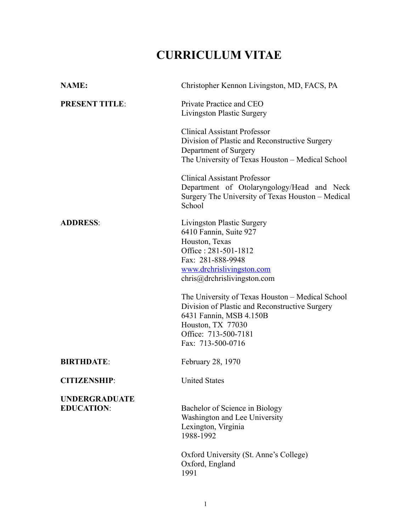# **CURRICULUM VITAE**

| <b>NAME:</b>                              | Christopher Kennon Livingston, MD, FACS, PA                                                                                                                                                     |
|-------------------------------------------|-------------------------------------------------------------------------------------------------------------------------------------------------------------------------------------------------|
| <b>PRESENT TITLE:</b>                     | Private Practice and CEO<br>Livingston Plastic Surgery                                                                                                                                          |
|                                           | <b>Clinical Assistant Professor</b><br>Division of Plastic and Reconstructive Surgery<br>Department of Surgery<br>The University of Texas Houston - Medical School                              |
|                                           | <b>Clinical Assistant Professor</b><br>Department of Otolaryngology/Head and Neck<br>Surgery The University of Texas Houston – Medical<br>School                                                |
| <b>ADDRESS:</b>                           | Livingston Plastic Surgery<br>6410 Fannin, Suite 927<br>Houston, Texas<br>Office: 281-501-1812<br>Fax: 281-888-9948<br>www.drchrislivingston.com<br>chris@drchrislivingston.com                 |
|                                           | The University of Texas Houston - Medical School<br>Division of Plastic and Reconstructive Surgery<br>6431 Fannin, MSB 4.150B<br>Houston, TX 77030<br>Office: 713-500-7181<br>Fax: 713-500-0716 |
| <b>BIRTHDATE:</b>                         | February 28, 1970                                                                                                                                                                               |
| <b>CITIZENSHIP:</b>                       | <b>United States</b>                                                                                                                                                                            |
| <b>UNDERGRADUATE</b><br><b>EDUCATION:</b> | Bachelor of Science in Biology<br>Washington and Lee University<br>Lexington, Virginia<br>1988-1992<br>Oxford University (St. Anne's College)<br>Oxford, England<br>1991                        |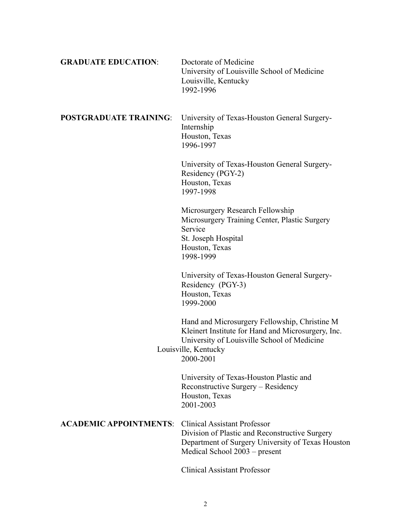| <b>GRADUATE EDUCATION:</b>    | Doctorate of Medicine<br>University of Louisville School of Medicine<br>Louisville, Kentucky<br>1992-1996                                                                               |
|-------------------------------|-----------------------------------------------------------------------------------------------------------------------------------------------------------------------------------------|
| <b>POSTGRADUATE TRAINING:</b> | University of Texas-Houston General Surgery-<br>Internship<br>Houston, Texas<br>1996-1997                                                                                               |
|                               | University of Texas-Houston General Surgery-<br>Residency (PGY-2)<br>Houston, Texas<br>1997-1998                                                                                        |
|                               | Microsurgery Research Fellowship<br>Microsurgery Training Center, Plastic Surgery<br>Service<br>St. Joseph Hospital<br>Houston, Texas<br>1998-1999                                      |
|                               | University of Texas-Houston General Surgery-<br>Residency (PGY-3)<br>Houston, Texas<br>1999-2000                                                                                        |
|                               | Hand and Microsurgery Fellowship, Christine M<br>Kleinert Institute for Hand and Microsurgery, Inc.<br>University of Louisville School of Medicine<br>Louisville, Kentucky<br>2000-2001 |
|                               | University of Texas-Houston Plastic and<br>Reconstructive Surgery - Residency<br>Houston, Texas<br>2001-2003                                                                            |
| <b>ACADEMIC APPOINTMENTS:</b> | <b>Clinical Assistant Professor</b><br>Division of Plastic and Reconstructive Surgery<br>Department of Surgery University of Texas Houston<br>Medical School 2003 – present             |

Clinical Assistant Professor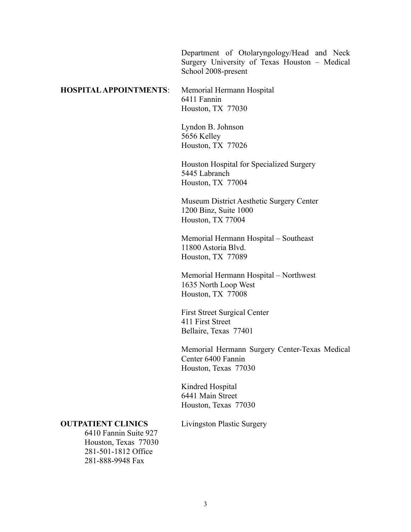Department of Otolaryngology/Head and Neck Surgery University of Texas Houston – Medical School 2008-present

# **HOSPITAL APPOINTMENTS**: Memorial Hermann Hospital 6411 Fannin Houston, TX 77030

Lyndon B. Johnson 5656 Kelley Houston, TX 77026

Houston Hospital for Specialized Surgery 5445 Labranch Houston, TX 77004

Museum District Aesthetic Surgery Center 1200 Binz, Suite 1000 Houston, TX 77004

Memorial Hermann Hospital – Southeast 11800 Astoria Blvd. Houston, TX 77089

Memorial Hermann Hospital – Northwest 1635 North Loop West Houston, TX 77008

First Street Surgical Center 411 First Street Bellaire, Texas 77401

Memorial Hermann Surgery Center-Texas Medical Center 6400 Fannin Houston, Texas 77030

Kindred Hospital 6441 Main Street Houston, Texas 77030

#### **OUTPATIENT CLINICS** Livingston Plastic Surgery

6410 Fannin Suite 927 Houston, Texas 77030 281-501-1812 Office 281-888-9948 Fax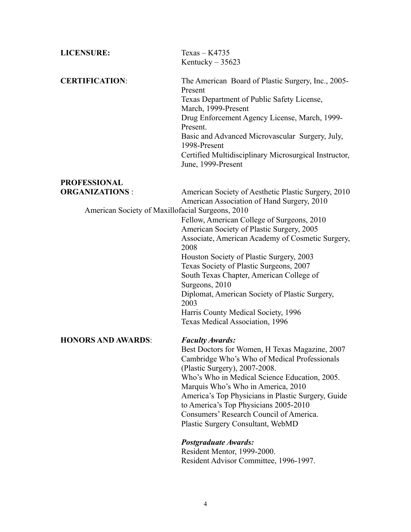| <b>LICENSURE:</b>                                | $Texas - K4735$                                                                                                                                                                                                                                                                                                                                   |
|--------------------------------------------------|---------------------------------------------------------------------------------------------------------------------------------------------------------------------------------------------------------------------------------------------------------------------------------------------------------------------------------------------------|
|                                                  | Kentucky $-35623$                                                                                                                                                                                                                                                                                                                                 |
| <b>CERTIFICATION:</b>                            | The American Board of Plastic Surgery, Inc., 2005-<br>Present<br>Texas Department of Public Safety License,<br>March, 1999-Present<br>Drug Enforcement Agency License, March, 1999-<br>Present.<br>Basic and Advanced Microvascular Surgery, July,<br>1998-Present<br>Certified Multidisciplinary Microsurgical Instructor,<br>June, 1999-Present |
| <b>PROFESSIONAL</b>                              |                                                                                                                                                                                                                                                                                                                                                   |
| <b>ORGANIZATIONS:</b>                            | American Society of Aesthetic Plastic Surgery, 2010<br>American Association of Hand Surgery, 2010                                                                                                                                                                                                                                                 |
| American Society of Maxillofacial Surgeons, 2010 |                                                                                                                                                                                                                                                                                                                                                   |
|                                                  | Fellow, American College of Surgeons, 2010                                                                                                                                                                                                                                                                                                        |
|                                                  | American Society of Plastic Surgery, 2005<br>Associate, American Academy of Cosmetic Surgery,                                                                                                                                                                                                                                                     |
|                                                  | 2008                                                                                                                                                                                                                                                                                                                                              |
|                                                  | Houston Society of Plastic Surgery, 2003                                                                                                                                                                                                                                                                                                          |
|                                                  | Texas Society of Plastic Surgeons, 2007                                                                                                                                                                                                                                                                                                           |
|                                                  | South Texas Chapter, American College of                                                                                                                                                                                                                                                                                                          |
|                                                  | Surgeons, 2010<br>Diplomat, American Society of Plastic Surgery,                                                                                                                                                                                                                                                                                  |
|                                                  | 2003                                                                                                                                                                                                                                                                                                                                              |
|                                                  | Harris County Medical Society, 1996                                                                                                                                                                                                                                                                                                               |
|                                                  | Texas Medical Association, 1996                                                                                                                                                                                                                                                                                                                   |
| <b>HONORS AND AWARDS:</b>                        | <b>Faculty Awards:</b>                                                                                                                                                                                                                                                                                                                            |
|                                                  | Best Doctors for Women, H Texas Magazine, 2007                                                                                                                                                                                                                                                                                                    |
|                                                  | Cambridge Who's Who of Medical Professionals                                                                                                                                                                                                                                                                                                      |
|                                                  | (Plastic Surgery), 2007-2008.<br>Who's Who in Medical Science Education, 2005.                                                                                                                                                                                                                                                                    |
|                                                  | Marquis Who's Who in America, 2010                                                                                                                                                                                                                                                                                                                |
|                                                  | America's Top Physicians in Plastic Surgery, Guide                                                                                                                                                                                                                                                                                                |
|                                                  | to America's Top Physicians 2005-2010                                                                                                                                                                                                                                                                                                             |
|                                                  | Consumers' Research Council of America.<br>Plastic Surgery Consultant, WebMD                                                                                                                                                                                                                                                                      |
|                                                  | Postgraduate Awards:                                                                                                                                                                                                                                                                                                                              |
|                                                  | Resident Mentor, 1999-2000.                                                                                                                                                                                                                                                                                                                       |
|                                                  | Resident Advisor Committee, 1996-1997.                                                                                                                                                                                                                                                                                                            |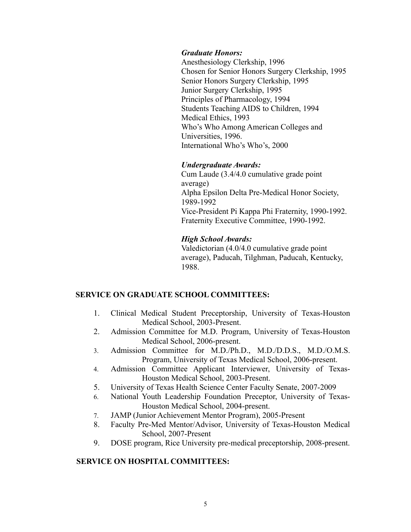#### *Graduate Honors:*

Anesthesiology Clerkship, 1996 Chosen for Senior Honors Surgery Clerkship, 1995 Senior Honors Surgery Clerkship, 1995 Junior Surgery Clerkship, 1995 Principles of Pharmacology, 1994 Students Teaching AIDS to Children, 1994 Medical Ethics, 1993 Who's Who Among American Colleges and Universities, 1996. International Who's Who's, 2000

## *Undergraduate Awards:*

Cum Laude (3.4/4.0 cumulative grade point average) Alpha Epsilon Delta Pre-Medical Honor Society, 1989-1992 Vice-President Pi Kappa Phi Fraternity, 1990-1992. Fraternity Executive Committee, 1990-1992.

## *High School Awards:*

Valedictorian (4.0/4.0 cumulative grade point average), Paducah, Tilghman, Paducah, Kentucky, 1988.

# **SERVICE ON GRADUATE SCHOOL COMMITTEES:**

- 1. Clinical Medical Student Preceptorship, University of Texas-Houston Medical School, 2003-Present.
- 2. Admission Committee for M.D. Program, University of Texas-Houston Medical School, 2006-present.
- 3. Admission Committee for M.D./Ph.D., M.D./D.D.S., M.D./O.M.S. Program, University of Texas Medical School, 2006-present.
- 4. Admission Committee Applicant Interviewer, University of Texas-Houston Medical School, 2003-Present.
- 5. University of Texas Health Science Center Faculty Senate, 2007-2009
- 6. National Youth Leadership Foundation Preceptor, University of Texas-Houston Medical School, 2004-present.
- 7. JAMP (Junior Achievement Mentor Program), 2005-Present
- 8. Faculty Pre-Med Mentor/Advisor, University of Texas-Houston Medical School, 2007-Present
- 9. DOSE program, Rice University pre-medical preceptorship, 2008-present.

# **SERVICE ON HOSPITAL COMMITTEES:**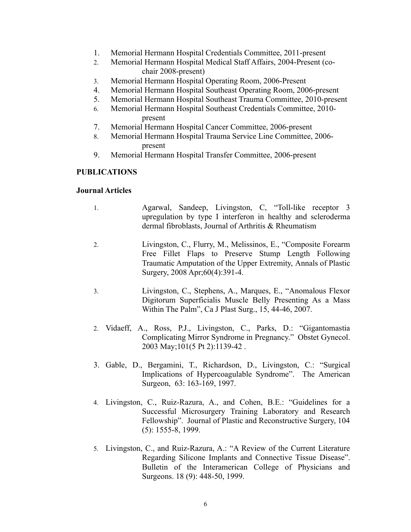- 1. Memorial Hermann Hospital Credentials Committee, 2011-present
- 2. Memorial Hermann Hospital Medical Staff Affairs, 2004-Present (cochair 2008-present)
- 3. Memorial Hermann Hospital Operating Room, 2006-Present
- 4. Memorial Hermann Hospital Southeast Operating Room, 2006-present
- 5. Memorial Hermann Hospital Southeast Trauma Committee, 2010-present
- 6. Memorial Hermann Hospital Southeast Credentials Committee, 2010 present
- 7. Memorial Hermann Hospital Cancer Committee, 2006-present
- 8. Memorial Hermann Hospital Trauma Service Line Committee, 2006 present
- 9. Memorial Hermann Hospital Transfer Committee, 2006-present

# **PUBLICATIONS**

#### **Journal Articles**

- 1. Agarwal, Sandeep, Livingston, C, "Toll-like receptor 3 upregulation by type I interferon in healthy and scleroderma dermal fibroblasts, Journal of Arthritis & Rheumatism
- 2. Livingston, C., Flurry, M., Melissinos, E., "Composite Forearm Free Fillet Flaps to Preserve Stump Length Following Traumatic Amputation of the Upper Extremity, Annals of Plastic Surgery, 2008 Apr;60(4):391-4.
- 3. Livingston, C., Stephens, A., Marques, E., "Anomalous Flexor Digitorum Superficialis Muscle Belly Presenting As a Mass Within The Palm", Ca J Plast Surg., 15, 44-46, 2007.
- 2. Vidaeff, A., Ross, P.J., Livingston, C., Parks, D.: "Gigantomastia Complicating Mirror Syndrome in Pregnancy." Obstet Gynecol. 2003 May;101(5 Pt 2):1139-42 .
- 3. Gable, D., Bergamini, T., Richardson, D., Livingston, C.: "Surgical Implications of Hypercoagulable Syndrome". The American Surgeon, 63: 163-169, 1997.
- 4. Livingston, C., Ruiz-Razura, A., and Cohen, B.E.: "Guidelines for a Successful Microsurgery Training Laboratory and Research Fellowship". Journal of Plastic and Reconstructive Surgery, 104 (5): 1555-8, 1999.
- 5. Livingston, C., and Ruiz-Razura, A.: "A Review of the Current Literature Regarding Silicone Implants and Connective Tissue Disease". Bulletin of the Interamerican College of Physicians and Surgeons. 18 (9): 448-50, 1999.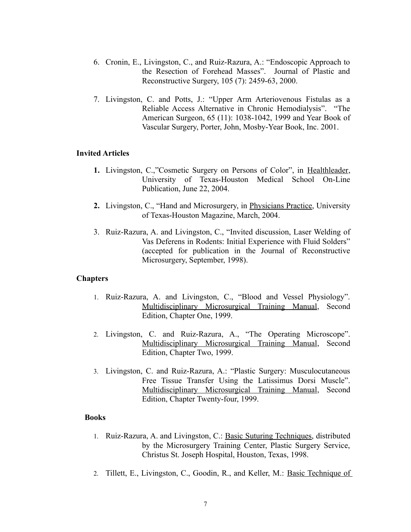- 6. Cronin, E., Livingston, C., and Ruiz-Razura, A.: "Endoscopic Approach to the Resection of Forehead Masses". Journal of Plastic and Reconstructive Surgery, 105 (7): 2459-63, 2000.
- 7. Livingston, C. and Potts, J.: "Upper Arm Arteriovenous Fistulas as a Reliable Access Alternative in Chronic Hemodialysis". "The American Surgeon, 65 (11): 1038-1042, 1999 and Year Book of Vascular Surgery, Porter, John, Mosby-Year Book, Inc. 2001.

#### **Invited Articles**

- **1.** Livingston, C.,"Cosmetic Surgery on Persons of Color", in Healthleader, University of Texas-Houston Medical School On-Line Publication, June 22, 2004.
- **2.** Livingston, C., "Hand and Microsurgery, in Physicians Practice, University of Texas-Houston Magazine, March, 2004.
- 3. Ruiz-Razura, A. and Livingston, C., "Invited discussion, Laser Welding of Vas Deferens in Rodents: Initial Experience with Fluid Solders" (accepted for publication in the Journal of Reconstructive Microsurgery, September, 1998).

## **Chapters**

- 1. Ruiz-Razura, A. and Livingston, C., "Blood and Vessel Physiology". Multidisciplinary Microsurgical Training Manual, Second Edition, Chapter One, 1999.
- 2. Livingston, C. and Ruiz-Razura, A., "The Operating Microscope". Multidisciplinary Microsurgical Training Manual, Second Edition, Chapter Two, 1999.
- 3. Livingston, C. and Ruiz-Razura, A.: "Plastic Surgery: Musculocutaneous Free Tissue Transfer Using the Latissimus Dorsi Muscle". Multidisciplinary Microsurgical Training Manual, Second Edition, Chapter Twenty-four, 1999.

## **Books**

- 1. Ruiz-Razura, A. and Livingston, C.: Basic Suturing Techniques, distributed by the Microsurgery Training Center, Plastic Surgery Service, Christus St. Joseph Hospital, Houston, Texas, 1998.
- 2. Tillett, E., Livingston, C., Goodin, R., and Keller, M.: Basic Technique of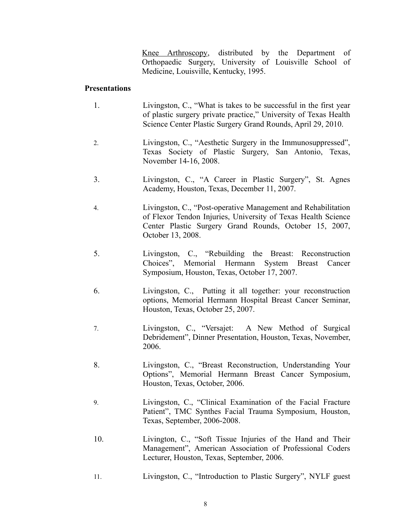Knee Arthroscopy, distributed by the Department of Orthopaedic Surgery, University of Louisville School of Medicine, Louisville, Kentucky, 1995.

## **Presentations**

- 1. Livingston, C., "What is takes to be successful in the first year of plastic surgery private practice," University of Texas Health Science Center Plastic Surgery Grand Rounds, April 29, 2010.
- 2. Livingston, C., "Aesthetic Surgery in the Immunosuppressed", Texas Society of Plastic Surgery, San Antonio, Texas, November 14-16, 2008.
- 3. Livingston, C., "A Career in Plastic Surgery", St. Agnes Academy, Houston, Texas, December 11, 2007.
- 4. Livingston, C., "Post-operative Management and Rehabilitation of Flexor Tendon Injuries, University of Texas Health Science Center Plastic Surgery Grand Rounds, October 15, 2007, October 13, 2008.
- 5. Livingston, C., "Rebuilding the Breast: Reconstruction Choices", Memorial Hermann System Breast Cancer Symposium, Houston, Texas, October 17, 2007.
- 6. Livingston, C., Putting it all together: your reconstruction options, Memorial Hermann Hospital Breast Cancer Seminar, Houston, Texas, October 25, 2007.
- 7. Livingston, C., "Versajet: A New Method of Surgical Debridement", Dinner Presentation, Houston, Texas, November, 2006.
- 8. Livingston, C., "Breast Reconstruction, Understanding Your Options", Memorial Hermann Breast Cancer Symposium, Houston, Texas, October, 2006.
- 9. Livingston, C., "Clinical Examination of the Facial Fracture Patient", TMC Synthes Facial Trauma Symposium, Houston, Texas, September, 2006-2008.
- 10. Livington, C., "Soft Tissue Injuries of the Hand and Their Management", American Association of Professional Coders Lecturer, Houston, Texas, September, 2006.
- 11. Livingston, C., "Introduction to Plastic Surgery", NYLF guest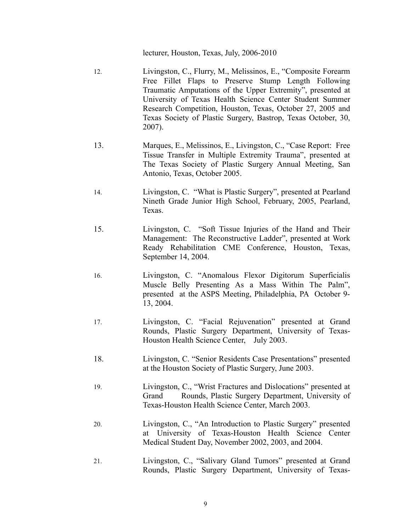lecturer, Houston, Texas, July, 2006-2010

- 12. Livingston, C., Flurry, M., Melissinos, E., "Composite Forearm Free Fillet Flaps to Preserve Stump Length Following Traumatic Amputations of the Upper Extremity", presented at University of Texas Health Science Center Student Summer Research Competition, Houston, Texas, October 27, 2005 and Texas Society of Plastic Surgery, Bastrop, Texas October, 30, 2007).
- 13. Marques, E., Melissinos, E., Livingston, C., "Case Report: Free Tissue Transfer in Multiple Extremity Trauma", presented at The Texas Society of Plastic Surgery Annual Meeting, San Antonio, Texas, October 2005.
- 14. Livingston, C. "What is Plastic Surgery", presented at Pearland Nineth Grade Junior High School, February, 2005, Pearland, Texas.
- 15. Livingston, C. "Soft Tissue Injuries of the Hand and Their Management: The Reconstructive Ladder", presented at Work Ready Rehabilitation CME Conference, Houston, Texas, September 14, 2004.
- 16. Livingston, C. "Anomalous Flexor Digitorum Superficialis Muscle Belly Presenting As a Mass Within The Palm", presented at the ASPS Meeting, Philadelphia, PA October 9- 13, 2004.
- 17. Livingston, C. "Facial Rejuvenation" presented at Grand Rounds, Plastic Surgery Department, University of Texas-Houston Health Science Center, July 2003.
- 18. Livingston, C. "Senior Residents Case Presentations" presented at the Houston Society of Plastic Surgery, June 2003.
- 19. Livingston, C., "Wrist Fractures and Dislocations" presented at Grand Rounds, Plastic Surgery Department, University of Texas-Houston Health Science Center, March 2003.
- 20. Livingston, C., "An Introduction to Plastic Surgery" presented at University of Texas-Houston Health Science Center Medical Student Day, November 2002, 2003, and 2004.
- 21. Livingston, C., "Salivary Gland Tumors" presented at Grand Rounds, Plastic Surgery Department, University of Texas-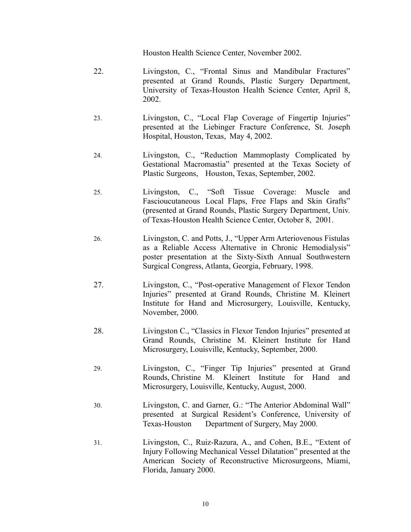Houston Health Science Center, November 2002.

- 22. Livingston, C., "Frontal Sinus and Mandibular Fractures" presented at Grand Rounds, Plastic Surgery Department, University of Texas-Houston Health Science Center, April 8, 2002.
- 23. Livingston, C., "Local Flap Coverage of Fingertip Injuries" presented at the Liebinger Fracture Conference, St. Joseph Hospital, Houston, Texas, May 4, 2002.
- 24. Livingston, C., "Reduction Mammoplasty Complicated by Gestational Macromastia" presented at the Texas Society of Plastic Surgeons, Houston, Texas, September, 2002.
- 25. Livingston, C., "Soft Tissue Coverage: Muscle and Fascioucutaneous Local Flaps, Free Flaps and Skin Grafts" (presented at Grand Rounds, Plastic Surgery Department, Univ. of Texas-Houston Health Science Center, October 8, 2001.
- 26. Livingston, C. and Potts, J., "Upper Arm Arteriovenous Fistulas as a Reliable Access Alternative in Chronic Hemodialysis" poster presentation at the Sixty-Sixth Annual Southwestern Surgical Congress, Atlanta, Georgia, February, 1998.
- 27. Livingston, C., "Post-operative Management of Flexor Tendon Injuries" presented at Grand Rounds, Christine M. Kleinert Institute for Hand and Microsurgery, Louisville, Kentucky, November, 2000.
- 28. Livingston C., "Classics in Flexor Tendon Injuries" presented at Grand Rounds, Christine M. Kleinert Institute for Hand Microsurgery, Louisville, Kentucky, September, 2000.
- 29. Livingston, C., "Finger Tip Injuries" presented at Grand Rounds, Christine M. Kleinert Institute for Hand and Microsurgery, Louisville, Kentucky, August, 2000.
- 30. Livingston, C. and Garner, G.: "The Anterior Abdominal Wall" presented at Surgical Resident's Conference, University of Texas-Houston Department of Surgery, May 2000.
- 31. Livingston, C., Ruiz-Razura, A., and Cohen, B.E., "Extent of Injury Following Mechanical Vessel Dilatation" presented at the American Society of Reconstructive Microsurgeons, Miami, Florida, January 2000.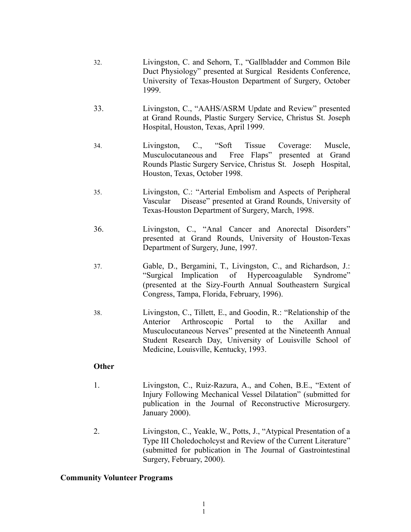- 32. Livingston, C. and Sehorn, T., "Gallbladder and Common Bile Duct Physiology" presented at Surgical Residents Conference, University of Texas-Houston Department of Surgery, October 1999.
- 33. Livingston, C., "AAHS/ASRM Update and Review" presented at Grand Rounds, Plastic Surgery Service, Christus St. Joseph Hospital, Houston, Texas, April 1999.
- 34. Livingston, C., "Soft Tissue Coverage: Muscle, Musculocutaneous and Free Flaps" presented at Grand Rounds Plastic Surgery Service, Christus St. Joseph Hospital, Houston, Texas, October 1998.
- 35. Livingston, C.: "Arterial Embolism and Aspects of Peripheral Vascular Disease" presented at Grand Rounds, University of Texas-Houston Department of Surgery, March, 1998.
- 36. Livingston, C., "Anal Cancer and Anorectal Disorders" presented at Grand Rounds, University of Houston-Texas Department of Surgery, June, 1997.
- 37. Gable, D., Bergamini, T., Livingston, C., and Richardson, J.: "Surgical Implication of Hypercoagulable Syndrome" (presented at the Sizy-Fourth Annual Southeastern Surgical Congress, Tampa, Florida, February, 1996).
- 38. Livingston, C., Tillett, E., and Goodin, R.: "Relationship of the Anterior Arthroscopic Portal to the Axillar and Musculocutaneous Nerves" presented at the Nineteenth Annual Student Research Day, University of Louisville School of Medicine, Louisville, Kentucky, 1993.

# **Other**

- 1. Livingston, C., Ruiz-Razura, A., and Cohen, B.E., "Extent of Injury Following Mechanical Vessel Dilatation" (submitted for publication in the Journal of Reconstructive Microsurgery. January 2000).
- 2. Livingston, C., Yeakle, W., Potts, J., "Atypical Presentation of a Type III Choledocholcyst and Review of the Current Literature" (submitted for publication in The Journal of Gastrointestinal Surgery, February, 2000).

# **Community Volunteer Programs**